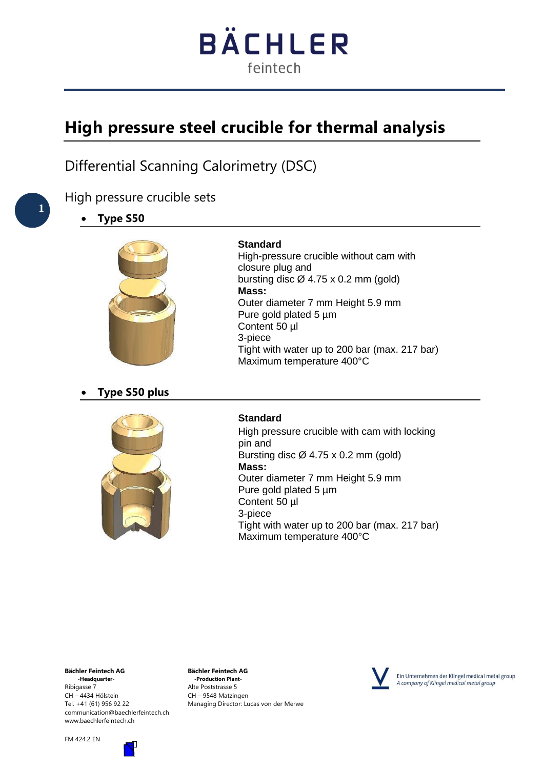# **BÄCHLER** feintech

# **High pressure steel crucible for thermal analysis**

Differential Scanning Calorimetry (DSC)

### High pressure crucible sets

• **Type S50**



#### **Standard**

High-pressure crucible without cam with closure plug and bursting disc  $\varnothing$  4.75 x 0.2 mm (gold) **Mass:**  Outer diameter 7 mm Height 5.9 mm Pure gold plated 5 µm Content 50 µl 3-piece Tight with water up to 200 bar (max. 217 bar) Maximum temperature 400°C

#### • **Type S50 plus**



#### **Standard**

High pressure crucible with cam with locking pin and Bursting disc  $\varnothing$  4.75 x 0.2 mm (gold) **Mass:**  Outer diameter 7 mm Height 5.9 mm Pure gold plated 5 µm Content 50 µl 3-piece Tight with water up to 200 bar (max. 217 bar) Maximum temperature 400°C

**Bächler Feintech AG Bächler Feintech AG** Ribigasse 7 **Alte Poststrasse 5**<br>CH – 4434 Hölstein **Alte Poststrasse 5** CH – 9548 Matzin communication@baechlerfeintech.ch www.baechlerfeintech.ch



**-Production Plant-**CH – 9548 Matzingen Tel. +41 (61) 956 92 22 Managing Director: Lucas von der Merwe



Ein Unternehmen der Klingel medical metal group A company of Klingel medical metal group

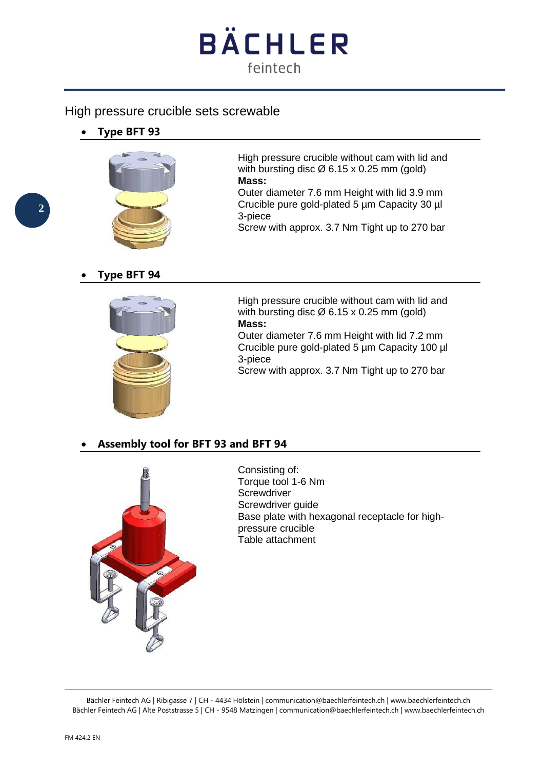

#### High pressure crucible sets screwable

• **Type BFT 93**



High pressure crucible without cam with lid and with bursting disc  $\varnothing$  6.15 x 0.25 mm (gold) **Mass:** 

Outer diameter 7.6 mm Height with lid 3.9 mm Crucible pure gold-plated 5 µm Capacity 30 µl 3-piece

Screw with approx. 3.7 Nm Tight up to 270 bar

#### • **Type BFT 94**



High pressure crucible without cam with lid and with bursting disc  $\varnothing$  6.15 x 0.25 mm (gold) **Mass:** 

Outer diameter 7.6 mm Height with lid 7.2 mm Crucible pure gold-plated 5 µm Capacity 100 µl 3-piece

Screw with approx. 3.7 Nm Tight up to 270 bar

#### • **Assembly tool for BFT 93 and BFT 94**



Consisting of: Torque tool 1-6 Nm **Screwdriver** Screwdriver guide Base plate with hexagonal receptacle for highpressure crucible Table attachment

Bächler Feintech AG | Ribigasse 7 | CH - 4434 Hölstein | communication@baechlerfeintech.ch | www.baechlerfeintech.ch Bächler Feintech AG | Alte Poststrasse 5 | CH - 9548 Matzingen | communication@baechlerfeintech.ch | www.baechlerfeintech.ch